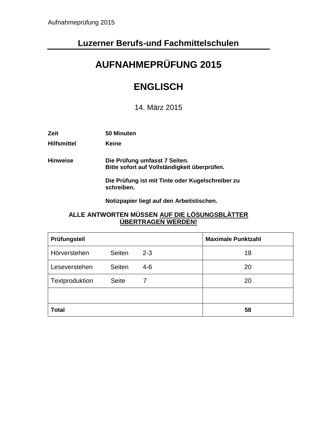### **Luzerner Berufs-und Fachmittelschulen**

# **AUFNAHMEPRÜFUNG 2015**

## **ENGLISCH**

14. März 2015

| Zeit               | 50 Minuten                                                                    |
|--------------------|-------------------------------------------------------------------------------|
| <b>Hilfsmittel</b> | Keine                                                                         |
| <b>Hinweise</b>    | Die Prüfung umfasst 7 Seiten.<br>Bitte sofort auf Vollständigkeit überprüfen. |
|                    | Die Prüfung ist mit Tinte oder Kugelschreiber zu<br>schreiben.                |
|                    | Notizpapier liegt auf den Arbeitstischen.                                     |

#### **ALLE ANTWORTEN MÜSSEN AUF DIE LÖSUNGSBLÄTTER ÜBERTRAGEN WERDEN!**

| Prüfungsteil   |               |         | <b>Maximale Punktzahl</b> |
|----------------|---------------|---------|---------------------------|
| Hörverstehen   | <b>Seiten</b> | $2 - 3$ | 18                        |
| Leseverstehen  | Seiten        | $4 - 6$ | 20                        |
| Textproduktion | <b>Seite</b>  | 7       | 20                        |
|                |               |         |                           |
| <b>Total</b>   |               |         | 58                        |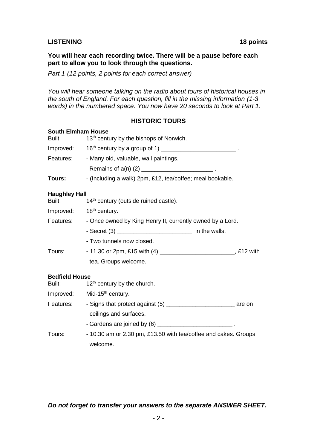#### **LISTENING 18 points**

#### **You will hear each recording twice. There will be a pause before each part to allow you to look through the questions.**

*Part 1 (12 points, 2 points for each correct answer)*

*You will hear someone talking on the radio about tours of historical houses in the south of England. For each question, fill in the missing information (1-3 words) in the numbered space. You now have 20 seconds to look at Part 1.*

**HISTORIC TOURS**

### **South Elmham House** Built: 13<sup>th</sup> century by the bishops of Norwich. Improved:  $16<sup>th</sup>$  century by a group of 1) \_\_\_\_\_\_\_\_\_\_\_\_\_\_\_\_\_\_\_\_\_\_\_\_\_\_\_\_. Features: - Many old, valuable, wall paintings. - Remains of a(n) (2) \_\_\_\_\_\_\_\_\_\_\_\_\_\_\_\_\_\_\_\_\_\_ . **Tours:** - (Including a walk) 2pm, £12, tea/coffee; meal bookable. **Haughley Hall** Built: 14<sup>th</sup> century (outside ruined castle). Improved: 18<sup>th</sup> century. Features: - Once owned by King Henry II, currently owned by a Lord. - Secret (3) \_\_\_\_\_\_\_\_\_\_\_\_\_\_\_\_\_\_\_\_\_\_\_ in the walls. - Two tunnels now closed. Tours: - 11.30 or 2pm, £15 with (4) \_\_\_\_\_\_\_\_\_\_\_\_\_\_\_\_\_\_\_\_\_\_\_, £12 with tea. Groups welcome. **Bedfield House** Built:  $12<sup>th</sup>$  century by the church. Improved: Mid-15<sup>th</sup> century. Features: - Signs that protect against (5) \_\_\_\_\_\_\_\_\_\_\_\_\_\_\_\_\_\_\_\_\_\_\_\_\_\_\_\_\_\_\_\_ are on ceilings and surfaces. - Gardens are joined by (6) **Solution Contract and Contract 2**

Tours: - 10.30 am or 2.30 pm, £13.50 with tea/coffee and cakes. Groups welcome.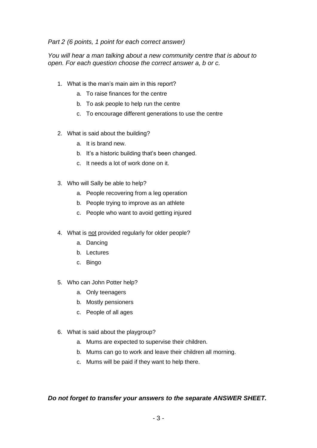#### *Part 2 (6 points, 1 point for each correct answer)*

*You will hear a man talking about a new community centre that is about to open. For each question choose the correct answer a, b or c.* 

- 1. What is the man's main aim in this report?
	- a. To raise finances for the centre
	- b. To ask people to help run the centre
	- c. To encourage different generations to use the centre
- 2. What is said about the building?
	- a. It is brand new.
	- b. It's a historic building that's been changed.
	- c. It needs a lot of work done on it.
- 3. Who will Sally be able to help?
	- a. People recovering from a leg operation
	- b. People trying to improve as an athlete
	- c. People who want to avoid getting injured
- 4. What is not provided regularly for older people?
	- a. Dancing
	- b. Lectures
	- c. Bingo
- 5. Who can John Potter help?
	- a. Only teenagers
	- b. Mostly pensioners
	- c. People of all ages
- 6. What is said about the playgroup?
	- a. Mums are expected to supervise their children.
	- b. Mums can go to work and leave their children all morning.
	- c. Mums will be paid if they want to help there.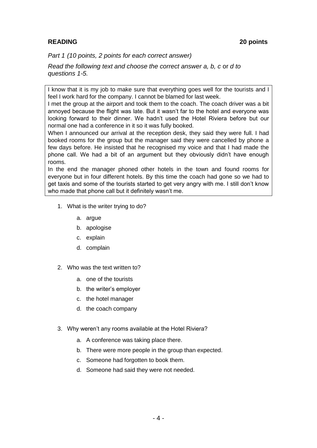### **READING 20 points**

*Part 1 (10 points, 2 points for each correct answer)*

*Read the following text and choose the correct answer a, b, c* or *d to questions 1-5.* 

I know that it is my job to make sure that everything goes well for the tourists and I feel I work hard for the company. I cannot be blamed for last week.

I met the group at the airport and took them to the coach. The coach driver was a bit annoyed because the flight was late. But it wasn't far to the hotel and everyone was looking forward to their dinner. We hadn't used the Hotel Riviera before but our normal one had a conference in it so it was fully booked.

When I announced our arrival at the reception desk, they said they were full. I had booked rooms for the group but the manager said they were cancelled by phone a few days before. He insisted that he recognised my voice and that I had made the phone call. We had a bit of an argument but they obviously didn't have enough rooms.

In the end the manager phoned other hotels in the town and found rooms for everyone but in four different hotels. By this time the coach had gone so we had to get taxis and some of the tourists started to get very angry with me. I still don't know who made that phone call but it definitely wasn't me.

- 1. What is the writer trying to do?
	- a. argue
	- b. apologise
	- c. explain
	- d. complain
- 2. Who was the text written to?
	- a. one of the tourists
	- b. the writer's employer
	- c. the hotel manager
	- d. the coach company
- 3. Why weren't any rooms available at the Hotel Riviera?
	- a. A conference was taking place there.
	- b. There were more people in the group than expected.
	- c. Someone had forgotten to book them.
	- d. Someone had said they were not needed.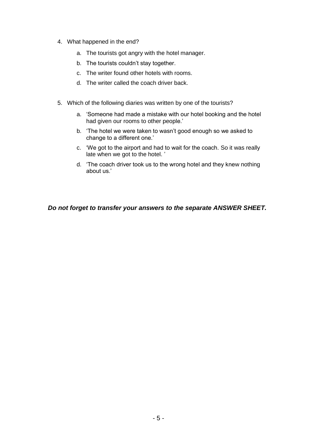- 4. What happened in the end?
	- a. The tourists got angry with the hotel manager.
	- b. The tourists couldn't stay together.
	- c. The writer found other hotels with rooms.
	- d. The writer called the coach driver back.
- 5. Which of the following diaries was written by one of the tourists?
	- a. 'Someone had made a mistake with our hotel booking and the hotel had given our rooms to other people.'
	- b. 'The hotel we were taken to wasn't good enough so we asked to change to a different one.'
	- c. 'We got to the airport and had to wait for the coach. So it was really late when we got to the hotel. '
	- d. 'The coach driver took us to the wrong hotel and they knew nothing about us.'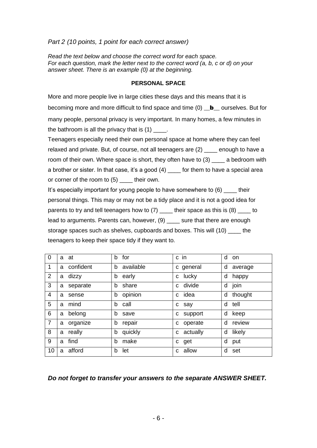#### *Part 2 (10 points, 1 point for each correct answer)*

*Read the text below and choose the correct word for each space. For each question, mark the letter next to the correct word (a, b, c or d) on your answer sheet. There is an example (0) at the beginning.*

#### **PERSONAL SPACE**

More and more people live in large cities these days and this means that it is becoming more and more difficult to find space and time (0) **b** ourselves. But for many people, personal privacy is very important. In many homes, a few minutes in the bathroom is all the privacy that is  $(1)$ .

Teenagers especially need their own personal space at home where they can feel relaxed and private. But, of course, not all teenagers are (2) \_\_\_\_ enough to have a room of their own. Where space is short, they often have to (3) a bedroom with a brother or sister. In that case, it's a good (4) \_\_\_\_ for them to have a special area or corner of the room to (5) \_\_\_\_ their own.

It's especially important for young people to have somewhere to (6) their personal things. This may or may not be a tidy place and it is not a good idea for parents to try and tell teenagers how to (7) \_\_\_\_ their space as this is (8) \_\_\_\_ to lead to arguments. Parents can, however, (9) sure that there are enough storage spaces such as shelves, cupboards and boxes. This will (10) the teenagers to keep their space tidy if they want to.

| 0              | a at          | b for          | c in       | d on         |
|----------------|---------------|----------------|------------|--------------|
| $\mathbf 1$    | a confident   | available<br>b | c general  | d<br>average |
| $\overline{2}$ | a dizzy       | b<br>early     | lucky<br>C | d<br>happy   |
| 3              | separate<br>a | share<br>b     | c divide   | join<br>d    |
| 4              | sense         | opinion        | idea       | thought      |
|                | a             | b              | C.         | d            |
| 5              | mind          | b              | say        | tell         |
|                | a             | call           | C          | d            |
| 6              | belong        | b              | support    | d            |
|                | a             | save           | c          | keep         |
| $\overline{7}$ | organize      | b              | operate    | d            |
|                | a             | repair         | c          | review       |
| 8              | really        | quickly        | actually   | likely       |
|                | a             | b              | C          | d            |
| 9              | find          | make           | get        | d            |
|                | a             | b              | C          | put          |
| 10             | afford<br>a   | let<br>b       | c allow    | d<br>set     |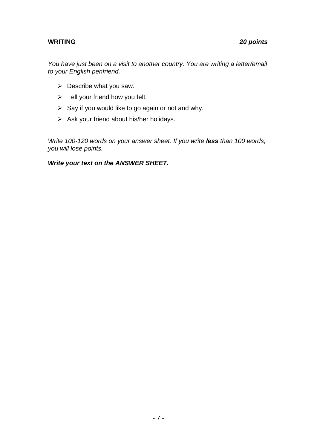*You have just been on a visit to another country. You are writing a letter/email to your English penfriend.* 

- $\triangleright$  Describe what you saw.
- $\triangleright$  Tell your friend how you felt.
- $\triangleright$  Say if you would like to go again or not and why.
- $\triangleright$  Ask your friend about his/her holidays.

*Write 100-120 words on your answer sheet. If you write less than 100 words, you will lose points.* 

#### *Write your text on the ANSWER SHEET.*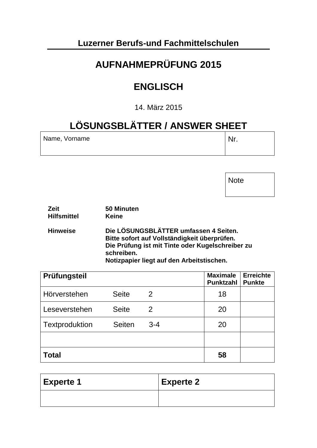### **Luzerner Berufs-und Fachmittelschulen**

# **AUFNAHMEPRÜFUNG 2015**

## **ENGLISCH**

14. März 2015

# **LÖSUNGSBLÄTTER / ANSWER SHEET**

| Name, Vorname | Nr. |
|---------------|-----|
|               |     |

Note

| <b>Zeit</b>        | 50 Minuten                                                                                                                                                                                           |
|--------------------|------------------------------------------------------------------------------------------------------------------------------------------------------------------------------------------------------|
| <b>Hilfsmittel</b> | <b>Keine</b>                                                                                                                                                                                         |
| <b>Hinweise</b>    | Die LÖSUNGSBLÄTTER umfassen 4 Seiten.<br>Bitte sofort auf Vollständigkeit überprüfen.<br>Die Prüfung ist mit Tinte oder Kugelschreiber zu<br>schreiben.<br>Notizpapier liegt auf den Arbeitstischen. |

| Prüfungsteil   |               |         | <b>Maximale</b><br><b>Punktzahl</b> | <b>Erreichte</b><br><b>Punkte</b> |
|----------------|---------------|---------|-------------------------------------|-----------------------------------|
| Hörverstehen   | <b>Seite</b>  | 2       | 18                                  |                                   |
| Leseverstehen  | <b>Seite</b>  | 2       | 20                                  |                                   |
| Textproduktion | <b>Seiten</b> | $3 - 4$ | 20                                  |                                   |
|                |               |         |                                     |                                   |
| <b>Total</b>   |               |         | 58                                  |                                   |

| Experte 1 | $\vert$ Experte 2 |
|-----------|-------------------|
|           |                   |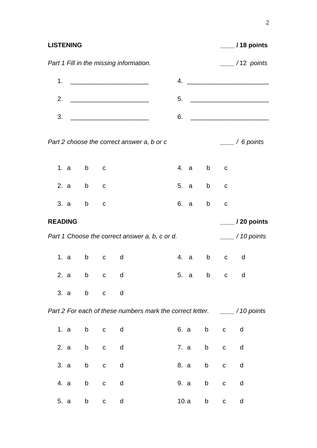| <b>LISTENING</b>                        |              |              |              |                                                |      |                                                                                                                                                                                                                                |              |                                 |
|-----------------------------------------|--------------|--------------|--------------|------------------------------------------------|------|--------------------------------------------------------------------------------------------------------------------------------------------------------------------------------------------------------------------------------|--------------|---------------------------------|
| Part 1 Fill in the missing information. |              |              |              |                                                |      |                                                                                                                                                                                                                                |              | $\frac{1}{2}$ /12 points        |
|                                         |              |              |              |                                                |      |                                                                                                                                                                                                                                |              |                                 |
| 2.                                      |              |              |              |                                                |      |                                                                                                                                                                                                                                |              |                                 |
|                                         |              |              |              |                                                |      |                                                                                                                                                                                                                                |              |                                 |
|                                         |              |              |              | Part 2 choose the correct answer a, b or c     |      |                                                                                                                                                                                                                                |              | $\frac{1}{\sqrt{2}}$ / 6 points |
|                                         | 1. $a$ b $c$ |              |              |                                                |      | 4. a b c                                                                                                                                                                                                                       |              |                                 |
|                                         | 2. $a$ b $c$ |              |              |                                                |      | 5. a b c                                                                                                                                                                                                                       |              |                                 |
|                                         | 3. a b c     |              |              |                                                | 6. a | b and the set of the set of the set of the set of the set of the set of the set of the set of the set of the set of the set of the set of the set of the set of the set of the set of the set of the set of the set of the set | $\mathbf C$  |                                 |
| <b>READING</b>                          |              |              |              |                                                |      |                                                                                                                                                                                                                                |              | $\frac{1}{20}$ / 20 points      |
|                                         |              |              |              | Part 1 Choose the correct answer a, b, c or d. |      |                                                                                                                                                                                                                                |              | $\frac{1}{10}$ / 10 points      |
|                                         | 1. a b c d   |              |              |                                                |      |                                                                                                                                                                                                                                | 4. a b c d   |                                 |
|                                         | 2. a b c d   |              |              | 5. a b c d                                     |      |                                                                                                                                                                                                                                |              |                                 |
| 3. a                                    | b            | $\mathbf{C}$ | d            |                                                |      |                                                                                                                                                                                                                                |              |                                 |
|                                         |              |              |              |                                                |      |                                                                                                                                                                                                                                |              |                                 |
| 1. a                                    | $\mathsf b$  | $\mathbf{C}$ | $\mathsf{d}$ |                                                | 6. a | b                                                                                                                                                                                                                              | $\mathsf{C}$ | $\mathsf{d}$                    |
| 2. a                                    |              | b c d        |              |                                                |      |                                                                                                                                                                                                                                | 7. a b c d   |                                 |
| 3. a                                    | b            | $\mathbf{C}$ | d            |                                                | 8. a | b a                                                                                                                                                                                                                            | $\mathbf{C}$ | d                               |
| 4. a                                    | b            | ${\bf C}$    | d            |                                                | 9. a | b                                                                                                                                                                                                                              | $\mathbf C$  | d                               |
| 5. a                                    | b            | ${\bf C}$    | d            |                                                | 10.a | b                                                                                                                                                                                                                              | $\mathbf{C}$ | d                               |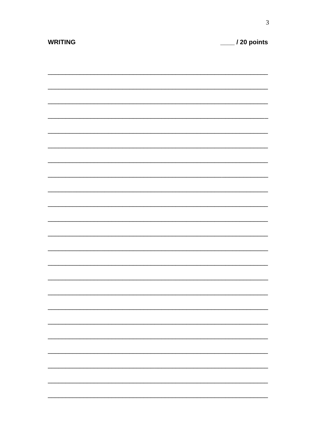| <b>WRITING</b> | $\_$ / 20 points |
|----------------|------------------|
|                |                  |
|                |                  |
|                |                  |
|                |                  |
|                |                  |
|                |                  |
|                |                  |
|                |                  |
|                |                  |
|                |                  |
|                |                  |
|                |                  |
|                |                  |
|                |                  |
|                |                  |
|                |                  |
|                |                  |
|                |                  |
|                |                  |
|                |                  |
|                |                  |
|                |                  |
|                |                  |
|                |                  |
|                |                  |
|                |                  |
|                |                  |
|                |                  |
|                |                  |
|                |                  |
|                |                  |
|                |                  |